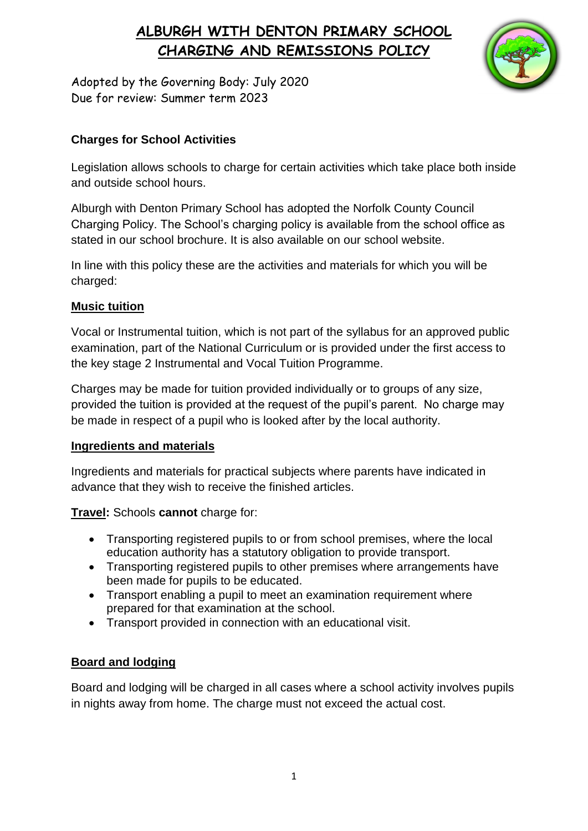# **ALBURGH WITH DENTON PRIMARY SCHOOL CHARGING AND REMISSIONS POLICY**



Adopted by the Governing Body: July 2020 Due for review: Summer term 2023

## **Charges for School Activities**

Legislation allows schools to charge for certain activities which take place both inside and outside school hours.

Alburgh with Denton Primary School has adopted the Norfolk County Council Charging Policy. The School's charging policy is available from the school office as stated in our school brochure. It is also available on our school website.

In line with this policy these are the activities and materials for which you will be charged:

### **Music tuition**

Vocal or Instrumental tuition, which is not part of the syllabus for an approved public examination, part of the National Curriculum or is provided under the first access to the key stage 2 Instrumental and Vocal Tuition Programme.

Charges may be made for tuition provided individually or to groups of any size, provided the tuition is provided at the request of the pupil's parent. No charge may be made in respect of a pupil who is looked after by the local authority.

#### **Ingredients and materials**

Ingredients and materials for practical subjects where parents have indicated in advance that they wish to receive the finished articles.

**Travel:** Schools **cannot** charge for:

- Transporting registered pupils to or from school premises, where the local education authority has a statutory obligation to provide transport.
- Transporting registered pupils to other premises where arrangements have been made for pupils to be educated.
- Transport enabling a pupil to meet an examination requirement where prepared for that examination at the school.
- Transport provided in connection with an educational visit.

### **Board and lodging**

Board and lodging will be charged in all cases where a school activity involves pupils in nights away from home. The charge must not exceed the actual cost.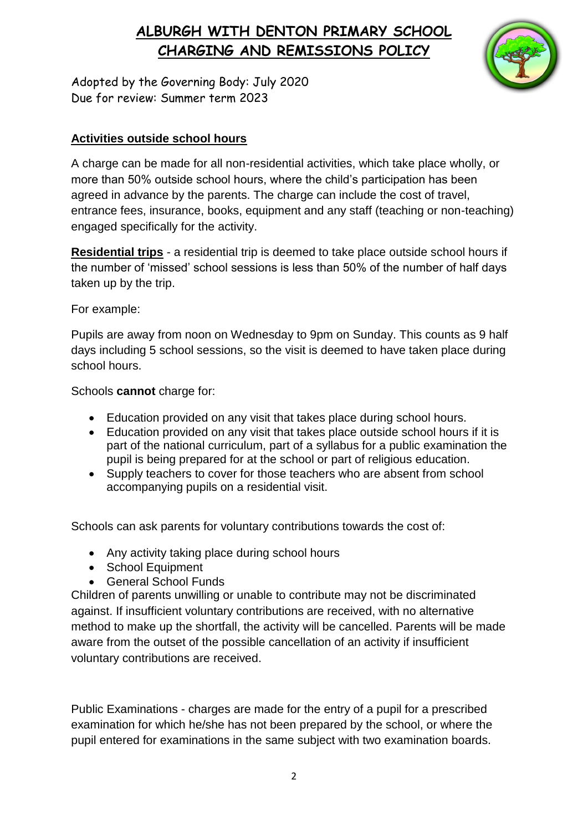# **ALBURGH WITH DENTON PRIMARY SCHOOL CHARGING AND REMISSIONS POLICY**



Adopted by the Governing Body: July 2020 Due for review: Summer term 2023

## **Activities outside school hours**

A charge can be made for all non-residential activities, which take place wholly, or more than 50% outside school hours, where the child's participation has been agreed in advance by the parents. The charge can include the cost of travel, entrance fees, insurance, books, equipment and any staff (teaching or non-teaching) engaged specifically for the activity.

**Residential trips** - a residential trip is deemed to take place outside school hours if the number of 'missed' school sessions is less than 50% of the number of half days taken up by the trip.

For example:

Pupils are away from noon on Wednesday to 9pm on Sunday. This counts as 9 half days including 5 school sessions, so the visit is deemed to have taken place during school hours.

Schools **cannot** charge for:

- Education provided on any visit that takes place during school hours.
- Education provided on any visit that takes place outside school hours if it is part of the national curriculum, part of a syllabus for a public examination the pupil is being prepared for at the school or part of religious education.
- Supply teachers to cover for those teachers who are absent from school accompanying pupils on a residential visit.

Schools can ask parents for voluntary contributions towards the cost of:

- Any activity taking place during school hours
- School Equipment
- General School Funds

Children of parents unwilling or unable to contribute may not be discriminated against. If insufficient voluntary contributions are received, with no alternative method to make up the shortfall, the activity will be cancelled. Parents will be made aware from the outset of the possible cancellation of an activity if insufficient voluntary contributions are received.

Public Examinations - charges are made for the entry of a pupil for a prescribed examination for which he/she has not been prepared by the school, or where the pupil entered for examinations in the same subject with two examination boards.